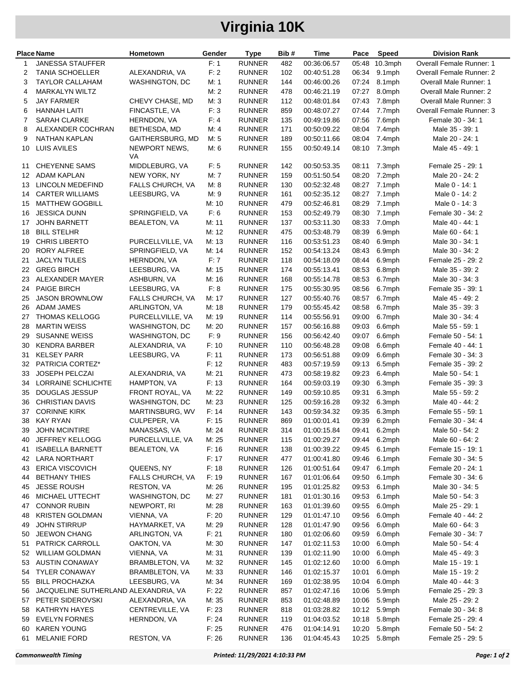## **Virginia 10K**

| <b>Place Name</b> |                                      | Hometown              | Gender | <b>Type</b>   | Bib# | Time        | Pace  | <b>Speed</b>  | Division Rank                   |
|-------------------|--------------------------------------|-----------------------|--------|---------------|------|-------------|-------|---------------|---------------------------------|
| 1                 | <b>JANESSA STAUFFER</b>              |                       | F: 1   | <b>RUNNER</b> | 482  | 00:36:06.57 |       | 05:48 10.3mph | Overall Female Runner: 1        |
| 2                 | <b>TANIA SCHOELLER</b>               | ALEXANDRIA, VA        | F: 2   | <b>RUNNER</b> | 102  | 00:40:51.28 | 06:34 | $9.1$ mph     | <b>Overall Female Runner: 2</b> |
| 3                 | <b>TAYLOR CALLAHAM</b>               | WASHINGTON, DC        | M: 1   | <b>RUNNER</b> | 144  | 00:46:00.26 | 07:24 | 8.1mph        | Overall Male Runner: 1          |
| 4                 | <b>MARKALYN WILTZ</b>                |                       | M: 2   | <b>RUNNER</b> | 478  | 00:46:21.19 | 07:27 | 8.0mph        | Overall Male Runner: 2          |
| 5                 | <b>JAY FARMER</b>                    | CHEVY CHASE, MD       | M:3    | <b>RUNNER</b> | 112  | 00:48:01.84 | 07:43 | 7.8mph        | Overall Male Runner: 3          |
| 6                 | <b>HANNAH LAITI</b>                  | FINCASTLE, VA         | F: 3   | <b>RUNNER</b> | 859  | 00:48:07.27 | 07:44 | 7.7mph        | Overall Female Runner: 3        |
| 7                 | SARAH CLARKE                         | HERNDON, VA           | F: 4   | <b>RUNNER</b> | 135  | 00:49:19.86 | 07:56 | 7.6mph        | Female 30 - 34: 1               |
| 8                 | ALEXANDER COCHRAN                    | BETHESDA, MD          | M: 4   | <b>RUNNER</b> | 171  | 00:50:09.22 | 08:04 | 7.4mph        | Male 35 - 39: 1                 |
| 9                 | NATHAN KAPLAN                        | GAITHERSBURG, MD      | M: 5   | <b>RUNNER</b> | 189  | 00:50:11.66 | 08:04 | 7.4mph        | Male 20 - 24: 1                 |
| 10                | <b>LUIS AVILES</b>                   | NEWPORT NEWS,<br>VA   | M: 6   | <b>RUNNER</b> | 155  | 00:50:49.14 | 08:10 | 7.3mph        | Male 45 - 49: 1                 |
| 11                | <b>CHEYENNE SAMS</b>                 | MIDDLEBURG, VA        | F: 5   | <b>RUNNER</b> | 142  | 00:50:53.35 | 08:11 | 7.3mph        | Female 25 - 29: 1               |
| 12                | <b>ADAM KAPLAN</b>                   | NEW YORK, NY          | M: 7   | <b>RUNNER</b> | 159  | 00:51:50.54 | 08:20 | 7.2mph        | Male 20 - 24: 2                 |
| 13                | <b>LINCOLN MEDEFIND</b>              | FALLS CHURCH, VA      | M: 8   | <b>RUNNER</b> | 130  | 00:52:32.48 | 08:27 | 7.1mph        | Male 0 - 14: 1                  |
| 14                | <b>CARTER WILLIAMS</b>               | LEESBURG, VA          | M: 9   | <b>RUNNER</b> | 161  | 00:52:35.12 | 08:27 | 7.1mph        | Male 0 - 14: 2                  |
| 15                | <b>MATTHEW GOGBILL</b>               |                       | M: 10  | <b>RUNNER</b> | 479  | 00:52:46.81 | 08:29 | 7.1mph        | Male 0 - 14: 3                  |
| 16                | <b>JESSICA DUNN</b>                  | SPRINGFIELD, VA       | F: 6   | <b>RUNNER</b> | 153  | 00:52:49.79 | 08:30 | 7.1mph        | Female 30 - 34: 2               |
| 17                | <b>JOHN BARNETT</b>                  | <b>BEALETON, VA</b>   | M: 11  | <b>RUNNER</b> | 137  | 00:53:11.30 | 08:33 | 7.0mph        | Male 40 - 44: 1                 |
| 18                | <b>BILL STELHR</b>                   |                       | M: 12  | <b>RUNNER</b> | 475  | 00:53:48.79 | 08:39 | 6.9mph        | Male 60 - 64: 1                 |
| 19                | <b>CHRIS LIBERTO</b>                 | PURCELLVILLE, VA      | M: 13  | <b>RUNNER</b> | 116  | 00:53:51.23 | 08:40 | 6.9mph        | Male 30 - 34: 1                 |
| 20                | <b>RORY ALFREE</b>                   | SPRINGFIELD, VA       | M: 14  | <b>RUNNER</b> | 152  | 00:54:13.24 | 08:43 | 6.9mph        | Male 30 - 34: 2                 |
| 21                | <b>JACLYN TULES</b>                  | HERNDON, VA           | F:7    | <b>RUNNER</b> | 118  | 00:54:18.09 | 08:44 | 6.9mph        | Female 25 - 29: 2               |
| 22                | <b>GREG BIRCH</b>                    | LEESBURG, VA          | M: 15  | <b>RUNNER</b> | 174  | 00:55:13.41 | 08:53 | 6.8mph        | Male 35 - 39: 2                 |
| 23                | ALEXANDER MAYER                      | ASHBURN, VA           | M: 16  | <b>RUNNER</b> | 168  | 00:55:14.78 | 08:53 | 6.7mph        | Male 30 - 34: 3                 |
| 24                | <b>PAIGE BIRCH</b>                   | LEESBURG, VA          | F: 8   | <b>RUNNER</b> | 175  | 00:55:30.95 | 08:56 | 6.7mph        | Female 35 - 39: 1               |
| 25                | <b>JASON BROWNLOW</b>                | FALLS CHURCH, VA      | M: 17  | <b>RUNNER</b> | 127  | 00:55:40.76 | 08:57 | 6.7mph        | Male 45 - 49: 2                 |
| 26                | <b>ADAM JAMES</b>                    | ARLINGTON, VA         | M: 18  | <b>RUNNER</b> | 179  | 00:55:45.42 | 08:58 | 6.7mph        | Male 35 - 39: 3                 |
| 27                | <b>THOMAS KELLOGG</b>                | PURCELLVILLE, VA      | M: 19  | <b>RUNNER</b> | 114  | 00:55:56.91 | 09:00 | 6.7mph        | Male 30 - 34: 4                 |
| 28                | <b>MARTIN WEISS</b>                  | WASHINGTON, DC        | M: 20  | <b>RUNNER</b> | 157  | 00:56:16.88 | 09:03 | 6.6mph        | Male 55 - 59: 1                 |
| 29                | <b>SUSANNE WEISS</b>                 | <b>WASHINGTON, DC</b> | F: 9   | <b>RUNNER</b> | 156  | 00:56:42.40 | 09:07 | 6.6mph        | Female 50 - 54: 1               |
| 30                | <b>KENDRA BARBER</b>                 | ALEXANDRIA, VA        | F: 10  | <b>RUNNER</b> | 110  | 00:56:48.28 | 09:08 | 6.6mph        | Female 40 - 44: 1               |
| 31                | <b>KELSEY PARR</b>                   | LEESBURG, VA          | F: 11  | <b>RUNNER</b> | 173  | 00:56:51.88 | 09:09 | 6.6mph        | Female 30 - 34: 3               |
| 32                | PATRICIA CORTEZ*                     |                       | F: 12  | <b>RUNNER</b> | 483  | 00:57:19.59 | 09:13 | 6.5mph        | Female 35 - 39: 2               |
| 33                | <b>JOSEPH PELCZAI</b>                | ALEXANDRIA, VA        | M: 21  | <b>RUNNER</b> | 473  | 00:58:19.82 | 09:23 | 6.4mph        | Male 50 - 54: 1                 |
| 34                | <b>LORRAINE SCHLICHTE</b>            | HAMPTON, VA           | F: 13  | <b>RUNNER</b> | 164  | 00:59:03.19 | 09:30 | 6.3mph        | Female 35 - 39: 3               |
| 35                | DOUGLAS JESSUP                       | FRONT ROYAL, VA       | M: 22  | <b>RUNNER</b> | 149  | 00:59:10.85 | 09:31 | 6.3mph        | Male 55 - 59: 2                 |
| 36                | <b>CHRISTIAN DAVIS</b>               | WASHINGTON, DC        | M: 23  | <b>RUNNER</b> | 125  | 00:59:16.28 | 09:32 | 6.3mph        | Male 40 - 44: 2                 |
| 37                | <b>CORINNE KIRK</b>                  | MARTINSBURG, WV       | F: 14  | <b>RUNNER</b> | 143  | 00:59:34.32 | 09:35 | 6.3mph        | Female 55 - 59: 1               |
| 38                | <b>KAY RYAN</b>                      | CULPEPER, VA          | F: 15  | <b>RUNNER</b> | 869  | 01:00:01.41 | 09:39 | 6.2mph        | Female 30 - 34: 4               |
| 39                | <b>JOHN MCINTIRE</b>                 | MANASSAS, VA          | M: 24  | <b>RUNNER</b> | 314  | 01:00:15.84 | 09:41 | 6.2mph        | Male 50 - 54: 2                 |
| 40                | <b>JEFFREY KELLOGG</b>               | PURCELLVILLE, VA      | M: 25  | <b>RUNNER</b> | 115  | 01:00:29.27 |       | 09:44 6.2mph  | Male 60 - 64: 2                 |
| 41                | <b>ISABELLA BARNETT</b>              | BEALETON, VA          | F: 16  | <b>RUNNER</b> | 138  | 01:00:39.22 |       | 09:45 6.1mph  | Female 15 - 19: 1               |
| 42                | LARA NORTHART                        |                       | F: 17  | <b>RUNNER</b> | 477  | 01:00:41.80 |       | 09:46 6.1mph  | Female 30 - 34: 5               |
| 43                | <b>ERICA VISCOVICH</b>               | QUEENS, NY            | F: 18  | <b>RUNNER</b> | 126  | 01:00:51.64 |       | 09:47 6.1mph  | Female 20 - 24: 1               |
| 44                | <b>BETHANY THIES</b>                 | FALLS CHURCH, VA      | F: 19  | <b>RUNNER</b> | 167  | 01:01:06.64 | 09:50 | 6.1mph        | Female 30 - 34: 6               |
| 45                | <b>JESSE ROUSH</b>                   | RESTON, VA            | M: 26  | <b>RUNNER</b> | 195  | 01:01:25.82 |       | 09:53 6.1mph  | Male 30 - 34: 5                 |
| 46                | MICHAEL UTTECHT                      | <b>WASHINGTON, DC</b> | M: 27  | <b>RUNNER</b> | 181  | 01:01:30.16 |       | 09:53 6.1mph  | Male 50 - 54: 3                 |
| 47                | <b>CONNOR RUBIN</b>                  | NEWPORT, RI           | M: 28  | <b>RUNNER</b> | 163  | 01:01:39.60 |       | 09:55 6.0mph  | Male 25 - 29: 1                 |
| 48                | <b>KRISTEN GOLDMAN</b>               | VIENNA, VA            | F: 20  | <b>RUNNER</b> | 129  | 01:01:47.10 | 09:56 | 6.0mph        | Female 40 - 44: 2               |
| 49                | <b>JOHN STIRRUP</b>                  | HAYMARKET, VA         | M: 29  | <b>RUNNER</b> | 128  | 01:01:47.90 |       | 09:56 6.0mph  | Male 60 - 64: 3                 |
| 50                | <b>JEEWON CHANG</b>                  | ARLINGTON, VA         | F: 21  | <b>RUNNER</b> | 180  | 01:02:06.60 |       | 09:59 6.0mph  | Female 30 - 34: 7               |
| 51                | <b>PATRICK CARROLL</b>               | OAKTON, VA            | M: 30  | <b>RUNNER</b> | 147  | 01:02:11.53 |       | 10:00 6.0mph  | Male 50 - 54: 4                 |
| 52                | <b>WILLIAM GOLDMAN</b>               | VIENNA, VA            | M: 31  | <b>RUNNER</b> | 139  | 01:02:11.90 |       | 10:00 6.0mph  | Male 45 - 49: 3                 |
| 53                | AUSTIN CONAWAY                       | BRAMBLETON, VA        | M: 32  | <b>RUNNER</b> | 145  | 01:02:12.60 | 10:00 | 6.0mph        | Male 15 - 19: 1                 |
| 54                | <b>TYLER CONAWAY</b>                 | BRAMBLETON, VA        | M: 33  | <b>RUNNER</b> | 146  | 01:02:15.37 | 10:01 | 6.0mph        | Male 15 - 19: 2                 |
| 55                | <b>BILL PROCHAZKA</b>                | LEESBURG, VA          | M: 34  | <b>RUNNER</b> | 169  | 01:02:38.95 |       | 10:04 6.0mph  | Male 40 - 44: 3                 |
| 56                | JACQUELINE SUTHERLAND ALEXANDRIA, VA |                       | F: 22  | <b>RUNNER</b> | 857  | 01:02:47.16 |       | 10:06 5.9mph  | Female 25 - 29: 3               |
| 57                | PETER SIDEROVSKI                     | ALEXANDRIA, VA        | M: 35  | <b>RUNNER</b> | 853  | 01:02:48.89 | 10:06 | 5.9mph        | Male 25 - 29: 2                 |
| 58                | <b>KATHRYN HAYES</b>                 | CENTREVILLE, VA       | F: 23  | <b>RUNNER</b> | 818  | 01:03:28.82 |       | 10:12 5.9mph  | Female 30 - 34: 8               |
| 59                | <b>EVELYN FORNES</b>                 | HERNDON, VA           | F: 24  | <b>RUNNER</b> | 119  | 01:04:03.52 |       | 10:18 5.8mph  | Female 25 - 29: 4               |
| 60                | <b>KAREN YOUNG</b>                   |                       | F: 25  | <b>RUNNER</b> | 476  | 01:04:14.91 | 10:20 | 5.8mph        | Female 50 - 54: 2               |
|                   | 61 MELANIE FORD                      | RESTON, VA            | F: 26  | <b>RUNNER</b> | 136  | 01:04:45.43 |       | 10:25 5.8mph  | Female 25 - 29: 5               |
|                   |                                      |                       |        |               |      |             |       |               |                                 |